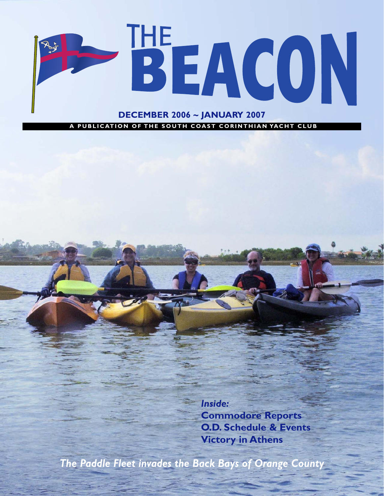

A PUBLICATION OF THE SOUTH COAST CORINTHIAN YACHT CLUB

*Inside:* **Commodore Reports O.D. Schedule & Events Victory in Athens**

*The Paddle Fleet invades the Back Bays of Orange County*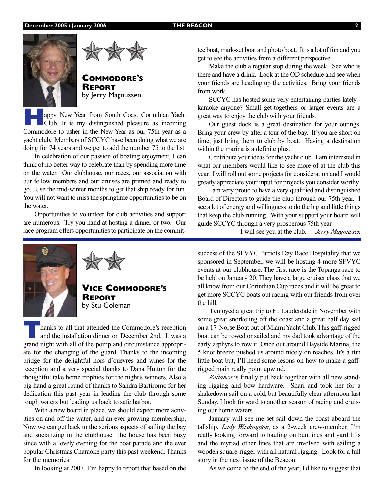

by Jerry Magnussen

**Happy New Year from South Coast Corinthian Yacht**<br>Club. It is my distinguished pleasure as incoming<br>Commodors to usher in the New Year as our 75th year as a Commodore to usher in the New Year as our 75th year as a yacht club. Members of SCCYC have been doing what we are doing for 74 years and we get to add the number 75 to the list.

In celebration of our passion of boating enjoyment, I can think of no better way to celebrate than by spending more time on the water. Our clubhouse, our races, our association with our fellow members and our cruises are primed and ready to go. Use the mid-winter months to get that ship ready for fun. You will not want to miss the springtime opportunities to be on the water.

Opportunities to volunteer for club activities and support are numerous. Try you hand at hosting a dinner or two. Our race program offers opportunities to participate on the commit-





**VICE COMMODORE'S REPORT** by Stu Coleman

hanks to all that attended the Commodore's reception and the installation dinner on December 2nd. It was a grand night with all of the pomp and circumstance appropriate for the changing of the guard. Thanks to the incoming bridge for the delightful hors d'ouevres and wines for the reception and a very special thanks to Dana Hutton for the thoughtful take home trophies for the night's winners. Also a big hand a great round of thanks to Sandra Bartiromo for her dedication this past year in leading the club through some rough waters but leading us back to safe harbor.

With a new board in place, we should expect more activities on and off the water, and an ever growing membership, Now we can get back to the serious aspects of sailing the bay and socializing in the clubhouse. The house has been busy since with a lovely evening for the boat parade and the ever popular Christmas Charaoke party this past weekend. Thanks for the memories.

In looking at 2007, I'm happy to report that based on the

tee boat, mark-set boat and photo boat. It is a lot of fun and you get to see the activities from a different perspective.

Make the club a regular stop during the week. See who is there and have a drink. Look at the OD schedule and see when your friends are heading up the activities. Bring your friends from work.

SCCYC has hosted some very entertaining parties lately karaoke anyone? Small get-togethers or larger events are a great way to enjoy the club with your friends.

Our guest dock is a great destination for your outings. Bring your crew by after a tour of the bay. If you are short on time, just bring them to club by boat. Having a destination within the marina is a definite plus.

Contribute your ideas for the yacht club. I am interested in what our members would like to see more of at the club this year. I will roll out some projects for consideration and I would greatly appreciate your input for projects you consider worthy.

I am very proud to have a very qualified and distinguished Board of Directors to guide the club through our 75th year. I see a lot of energy and willingness to do the big and little things that keep the club running. With your support your board will guide SCCYC through a very prosperous 75th year.

I will see you at the club. *— Jerry Magnussen*

success of the SFVYC Patriots Day Race Hospitality that we sponsored in September, we will be hosting 4 more SFVYC events at our clubhouse. The first race is the Topanga race to be held on January 20. They have a large cruiser class that we all know from our Corinthian Cup races and it will be great to get more SCCYC boats out racing with our friends from over the hill.

I enjoyed a great trip to Ft. Lauderdale in November with some great snorkeling off the coast and a great half day sail on a 17' Norse Boat out of Miami Yacht Club. This gaff-rigged boat can be rowed or sailed and my dad took advantage of the early zephyrs to row it. Once out around Bayside Marina, the 5 knot breeze pushed us around nicely on reaches. It's a fun little boat but, I'll need some lesons on how to make a gaffrigged main really point upwind.

*Reliance* is finally put back together with all new standing rigging and bow hardware. Shari and took her for a shakedown sail on a cold, but beautifully clear afternoon last Sunday. I look forward to another season of racing and cruising our home waters.

January will see me set sail down the coast aboard the tallship, *Lady Washington*, as a 2-week crew-member. I'm really looking forward to hauling on buntlines and yard lifts and the myriad other lines that are involved with sailing a wooden square-rigger with all natural rigging. Look for a full story in the next issue of the Beacon.

As we come to the end of the year, I'd like to suggest that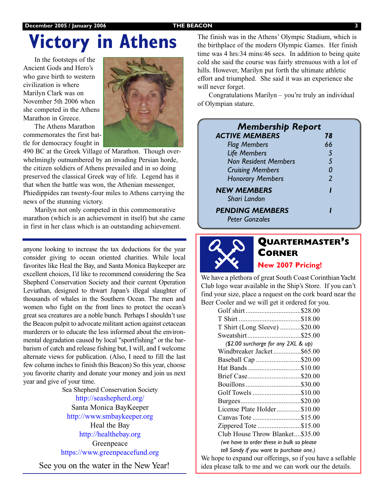### **December 2005 / January 2006 53 THE BEACON**

# **Victory in Athens**

In the footsteps of the Ancient Gods and Hero's who gave birth to western civilization is where Marilyn Clark was on November 5th 2006 when she competed in the Athens Marathon in Greece.

The Athens Marathon commemorates the first battle for democracy fought in



490 BC at the Greek Village of Marathon. Though overwhelmingly outnumbered by an invading Persian horde, the citizen soldiers of Athens prevailed and in so doing preserved the classical Greek way of life. Legend has it that when the battle was won, the Athenian messenger, Phiedippides ran twenty-four miles to Athens carrying the news of the stunning victory.

Marilyn not only competed in this commemorative marathon (which is an achievement in itself) but she came in first in her class which is an outstanding achievement.

anyone looking to increase the tax deductions for the year consider giving to ocean oriented charities. While local favorites like Heal the Bay, and Santa Monica Baykeeper are excellent choices, I'd like to recommend considering the Sea Shepherd Conservation Society and their current Operation Leviathan, designed to thwart Japan's illegal slaughter of thousands of whales in the Southern Ocean. The men and women who fight on the front lines to protect the ocean's great sea creatures are a noble bunch. Perhaps I shouldn't use the Beacon pulpit to advocate militant action against cetacean murderers or to educate the less informed about the environmental degradation caused by local "sportfishing" or the barbarism of catch and release fishing but, I will, and I welcome alternate views for publication. (Also, I need to fill the last few column inches to finish this Beacon) So this year, choose you favorite charity and donate your money and join us next year and give of your time.

Sea Shepherd Conservation Society http://seashepherd.org/ Santa Monica BayKeeper http://www.smbaykeeper.org Heal the Bay http://healthebay.org Greenpeace https://www.greenpeacefund.org See you on the water in the New Year! The finish was in the Athens' Olympic Stadium, which is the birthplace of the modern Olympic Games. Her finish time was 4 hrs:34 mins:46 secs. In addition to being quite cold she said the course was fairly strenuous with a lot of hills. However, Marilyn put forth the ultimate athletic effort and triumphed. She said it was an experience she will never forget.

Congratulations Marilyn – you're truly an individual of Olympian stature.

| <b>Membership Report</b>           |               |  |
|------------------------------------|---------------|--|
| <b>ACTIVE MEMBERS</b>              | 78            |  |
| <b>Flag Members</b>                | 66            |  |
| <b>Life Members</b>                | 5             |  |
| <b>Non Resident Members</b>        | .5            |  |
| <b>Cruising Members</b>            | 0             |  |
| <b>Honorary Members</b>            | $\mathcal{L}$ |  |
| <b>NEW MEMBERS</b><br>Shari Landon |               |  |
| <b>PENDING MEMBERS</b>             |               |  |
| <b>Peter Gonzales</b>              |               |  |



## **QUARTERMASTER'S CORNER**

**New 2007 Pricing!**

We have a plethora of great South Coast Corinthian Yacht Club logo wear available in the Ship's Store. If you can't find your size, place a request on the cork board near the Beer Cooler and we will get it ordered for you.

| Golf shirt\$28.00                         |  |
|-------------------------------------------|--|
|                                           |  |
| T Shirt (Long Sleeve) \$20.00             |  |
| Sweatshirt\$25.00                         |  |
| (\$2.00 surcharge for any 2XL & up)       |  |
| Windbreaker Jacket\$65.00                 |  |
| Baseball Cap \$20.00                      |  |
| Hat Bands\$10.00                          |  |
| Brief Case\$20.00                         |  |
| Bouillons\$30.00                          |  |
| Golf Towels \$10.00                       |  |
|                                           |  |
| License Plate Holder\$10.00               |  |
| Canvas Tote \$15.00                       |  |
| Zippered Tote \$15.00                     |  |
| Club House Throw Blanket\$35.00           |  |
| (we have to order these in bulk so please |  |
| tell Sandy if you want to purchase one.)  |  |
|                                           |  |

We hope to expand our offerings, so if you have a sellable idea please talk to me and we can work our the details.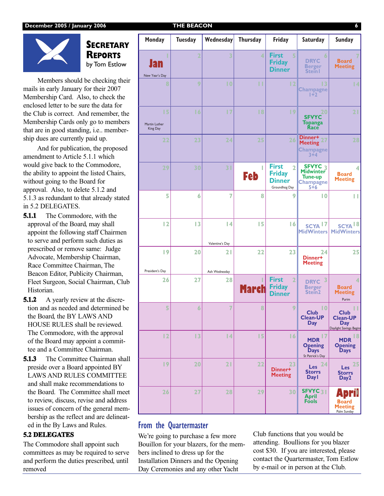

## **SECRETARY REPORTS** by Tom Estlow

Members should be checking their mails in early January for their 2007 Membership Card. Also, to check the enclosed letter to be sure the data for the Club is correct. And remember, the Membership Cards only go to members that are in good standing, i.e.. membership dues are currently paid up.

And for publication, the proposed amendment to Article 5.1.1 which would give back to the Commodore, the ability to appoint the listed Chairs, without going to the Board for approval. Also, to delete 5.1.2 and 5.1.3 as redundant to that already stated in 5.2 DELEGATES.

- **5.1.1** The Commodore, with the approval of the Board, may shall appoint the following staff Chairmen to serve and perform such duties as prescribed or remove same: Judge Advocate, Membership Chairman, Race Committee Chairman, The Beacon Editor, Publicity Chairman, Fleet Surgeon, Social Chairman, Club Historian.
- **5.1.2** A yearly review at the discretion and as needed and determined be the Board, the BY LAWS AND HOUSE RULES shall be reviewed. The Commodore, with the approval of the Board may appoint a committee and a Committee Chairman.
- **5.1.3** The Committee Chairman shall preside over a Board appointed BY LAWS AND RULES COMMITTEE and shall make recommendations to the Board. The Committee shall meet to review, discuss, revise and address issues of concern of the general membership as the reflect and are delineated in the By Laws and Rules.

## **5.2 DELEGATES**

The Commodore shall appoint such committees as may be required to serve and perform the duties prescribed, until removed

| <b>Monday</b>                   | <b>Tuesday</b>   | Wednesday            | <b>Thursday</b> | Friday                                                                            | Saturday                                                                                  | <b>Sunday</b>                                                           |
|---------------------------------|------------------|----------------------|-----------------|-----------------------------------------------------------------------------------|-------------------------------------------------------------------------------------------|-------------------------------------------------------------------------|
| <b>an</b><br>New Year's Day     | 2                | 3                    | 4               | <b>First</b><br>5<br><b>Friday</b><br><b>Dinner</b>                               | 6<br><b>DRYC</b><br><b>Berger</b><br><b>Stein</b>                                         | <b>Board</b><br><b>Meeting</b>                                          |
| 8                               | 9                | 0                    | П               | 2                                                                                 | 3<br><b>Champagne</b><br>$1 + 2$                                                          | 4                                                                       |
| 15<br>Martin Luther<br>King Day | 16               | 17                   | 8               | 9                                                                                 | 20<br><b>SFVYC</b><br><b>Topanga</b><br>Race                                              | 21                                                                      |
| 22                              | 23               | 24                   | 25              | 26                                                                                | Dinner+<br>Meeting 27<br><b>Champagne</b><br>$3 + 4$                                      | 28                                                                      |
| 29                              | 30               | 31                   | ı<br><b>Feb</b> | <b>First</b><br>$\overline{2}$<br><b>Friday</b><br><b>Dinner</b><br>Groundhog Day | $S$ FVYC $\frac{1}{3}$<br><b>Midwinter</b><br><b>Tune-up</b><br><b>Champagne</b><br>$5+6$ | 4<br><b>Board</b><br><b>Meeting</b>                                     |
| 5                               | 6                | $\overline{7}$       | 8               | 9                                                                                 | 0                                                                                         | Ш                                                                       |
| 12                              | 13               | 4<br>Valentine's Day | 15              | 6                                                                                 | SCYA <sup>17</sup><br><b>MidWinters</b>                                                   | SCYA <sup>18</sup><br><b>MidWinters</b>                                 |
| 9<br>President's Day            | 20               | 21<br>Ash Wednesday  | 22              | 23                                                                                | 24<br>Dinner+<br><b>Meeting</b>                                                           | 25                                                                      |
| 26                              | 27               | 28                   | <b>March</b>    | <b>First</b><br>$\overline{2}$<br><b>Friday</b><br><b>Dinner</b>                  | 3<br><b>DRYC</b><br><b>Berger</b><br>Stein <sub>2</sub>                                   | 4<br><b>Board</b><br><b>Meeting</b><br>Purim                            |
| 5                               | $\boldsymbol{6}$ | 7                    | 8               | 9                                                                                 | $\overline{10}$<br><b>Club</b><br><b>Clean-UP</b><br><b>Day</b>                           | <b>Club</b><br><b>Clean-UP</b><br><b>Day</b><br>Daylight Savings Begins |
| 12                              | 13               | 4                    | 15              | 16                                                                                | -17<br><b>MDR</b><br><b>Opening</b><br><b>Days</b><br>St Patrick's Day                    | l 8.<br><b>MDR</b><br><b>Opening</b><br><b>Days</b>                     |
| 9                               | 20               | 21                   | 22              | 23<br>Dinner+<br><b>Meeting</b>                                                   | 24<br>Les<br><b>Storrs</b><br>Day I                                                       | 25<br>Les<br><b>Storrs</b><br>Day <sub>2</sub>                          |
| 26                              | 27               | 28                   | 29              | 30                                                                                | SFVYC $_3$ <sub>1</sub><br><b>April</b><br><b>Fools</b>                                   | <b>Board</b><br><b>Meeting</b><br>Palm Sunday                           |

## From the Quartermaster

We're going to purchase a few more Bouillon for your blazers, for the members inclined to dress up for the Installation Dinners and the Opening Day Ceremonies and any other Yacht

Club functions that you would be attending. Boullions for you blazer cost \$30. If you are interested, please contact the Quartermaster, Tom Estlow by e-mail or in person at the Club.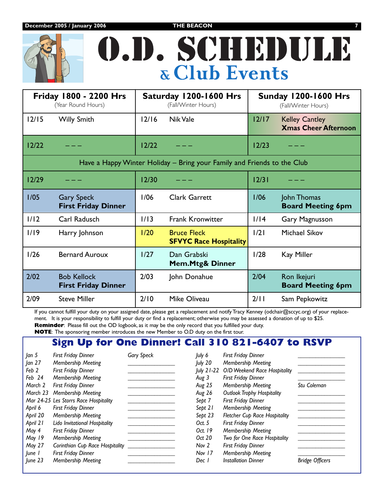**December 2005 / January 2006 THE BEACON** 



| <b>Friday 1800 - 2200 Hrs</b><br>(Year Round Hours)                     | Saturday 1200-1600 Hrs<br>(Fall/Winter Hours)               | <b>Sunday 1200-1600 Hrs</b><br>(Fall/Winter Hours)              |  |  |  |  |
|-------------------------------------------------------------------------|-------------------------------------------------------------|-----------------------------------------------------------------|--|--|--|--|
| $12/15$<br><b>Willy Smith</b>                                           | 12/16<br><b>Nik Vale</b>                                    | $12/17$<br><b>Kelley Cantley</b><br><b>Xmas Cheer Afternoon</b> |  |  |  |  |
| 12/22                                                                   | $12/22$                                                     | 12/23                                                           |  |  |  |  |
| Have a Happy Winter Holiday - Bring your Family and Friends to the Club |                                                             |                                                                 |  |  |  |  |
| 12/29                                                                   | 12/30                                                       | 12/31                                                           |  |  |  |  |
| 1/05<br><b>Gary Speck</b><br><b>First Friday Dinner</b>                 | 1/06<br><b>Clark Garrett</b>                                | 1/06<br>John Thomas<br><b>Board Meeting 6pm</b>                 |  |  |  |  |
| 1/12<br>Carl Radusch                                                    | 1/13<br><b>Frank Kronwitter</b>                             | 1/14<br>Gary Magnusson                                          |  |  |  |  |
| 1/19<br>Harry Johnson                                                   | 1/20<br><b>Bruce Fleck</b><br><b>SFVYC Race Hospitality</b> | 1/2<br><b>Michael Sikov</b>                                     |  |  |  |  |
| 1/26<br><b>Bernard Auroux</b>                                           | 1/27<br>Dan Grabski<br><b>Mem.Mtg&amp; Dinner</b>           | 1/28<br>Kay Miller                                              |  |  |  |  |
| 2/02<br><b>Bob Kellock</b><br><b>First Friday Dinner</b>                | 2/03<br>John Donahue                                        | 2/04<br>Ron Ikejuri<br><b>Board Meeting 6pm</b>                 |  |  |  |  |
| 2/09<br><b>Steve Miller</b>                                             | 2/10<br>Mike Oliveau                                        | 2/11<br>Sam Pepkowitz                                           |  |  |  |  |

If you cannot fulfill your duty on your assigned date, please get a replacement and notify Tracy Kenney (odchair@sccyc.org) of your replacement. It is your responsibility to fulfill your duty or find a replacement; otherwise you may be assessed a donation of up to \$25. **Reminder**: Please fill out the OD logbook, as it may be the only record that you fulfilled your duty.

**NOTE**: The sponsoring member introduces the new Member to O.D duty on the first tour.

## **Sign Up for One Dinner! Call 310 821-6407 to RSVP**

| Jan 5    | <b>First Friday Dinner</b>            | <b>Gary Speck</b> | July 6     | <b>First Friday Dinner</b>           |                        |
|----------|---------------------------------------|-------------------|------------|--------------------------------------|------------------------|
| an 27    | Membership Meeting                    |                   | July 20    | Membership Meeting                   |                        |
| Feb 2    | <b>First Friday Dinner</b>            |                   | July 21-22 | O/D Weekend Race Hospitality         |                        |
| Feb 24   | Membership Meeting                    |                   | Aug 3      | <b>First Friday Dinner</b>           |                        |
| March 2  | <b>First Friday Dinner</b>            |                   | Aug 25     | Membership Meeting                   | Stu Coleman            |
| March 23 | Membership Meeting                    |                   | Aug 26     | <b>Outlook Trophy Hospitality</b>    |                        |
|          | Mar 24-25 Les Storrs Race Hospitality |                   | Sept 7     | <b>First Friday Dinner</b>           |                        |
| April 6  | <b>First Friday Dinner</b>            |                   | Sept 21    | Membership Meeting                   |                        |
| April 20 | Membership Meeting                    |                   | Sept 23    | <b>Fletcher Cup Race Hospitality</b> |                        |
| April 21 | Lido Invitational Hospitality         |                   | Oct. 5     | <b>First Friday Dinner</b>           |                        |
| May 4    | <b>First Friday Dinner</b>            |                   | Oct. 19    | Membership Meeting                   |                        |
| May 19   | Membership Meeting                    |                   | Oct 20     | Two for One Race Hospitality         |                        |
| May 27   | Corinthian Cup Race Hospitality       |                   | Nov 2      | <b>First Friday Dinner</b>           |                        |
| June 1   | <b>First Friday Dinner</b>            |                   | Nov 17     | Membership Meeting                   |                        |
| June 23  | Membership Meeting                    |                   | Dec 1      | <b>Installation Dinner</b>           | <b>Bridge Officers</b> |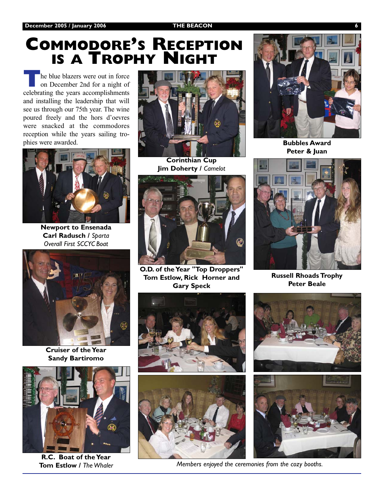# **COMMODORE'S RECEPTION IS A TROPHY NIGHT**

**T**he blue blazers were out in force on December 2nd for a night of celebrating the years accomplishments and installing the leadership that will see us through our 75th year. The wine poured freely and the hors d'oevres were snacked at the commodores reception while the years sailing trophies were awarded.



**Newport to Ensenada Carl Radusch /** *Sparta Overall First SCCYC Boat*



**Cruiser of the Year Sandy Bartiromo**



**R.C. Boat of the Year Tom Estlow /** *The Whaler*



**Corinthian Cup Jim Doherty /** *Camelot*



**O.D. of the Year "Top Droppers" Tom Estlow, Rick Horner and Gary Speck**





*Members enjoyed the ceremonies from the cozy booths.*



**Bubbles Award Peter & Juan**



**Russell Rhoads Trophy Peter Beale**



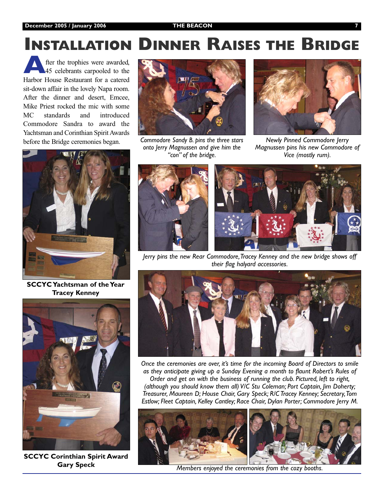### December 2005 / January 2006 **THE BEACON**

# **INSTALLATION DINNER RAISES THE BRIDGE**

fter the trophies were awarded, 45 celebrants carpooled to the Harbor House Restaurant for a catered sit-down affair in the lovely Napa room. After the dinner and desert, Emcee, Mike Priest rocked the mic with some MC standards and introduced Commodore Sandra to award the Yachtsman and Corinthian Spirit Awards before the Bridge ceremonies began.



**SCCYC Yachtsman of the Year Tracey Kenney**



**SCCYC Corinthian Spirit Award Gary Speck**



*Commodore Sandy B. pins the three stars onto Jerry Magnussen and give him the "con" of the bridge.*



*Newly Pinned Commodore Jerry Magnussen pins his new Commodore of Vice (mostly rum).*



*Jerry pins the new Rear Commodore,Tracey Kenney and the new bridge shows off their flag halyard accessories.*



*Once the ceremonies are over, it's time for the incoming Board of Directors to smile as they anticipate giving up a Sunday Evening a month to flaunt Robert's Rules of Order and get on with the business of running the club. Pictured, left to right, (although you should know them all) V/C Stu Coleman; Port Captain, Jim Doherty; Treasurer, Maureen D; House Chair, Gary Speck; R/C Tracey Kenney; Secretary,Tom Estlow; Fleet Captain, Kelley Cantley; Race Chair, Dylan Porter; Commodore Jerry M.*



*Members enjoyed the ceremonies from the cozy booths.*